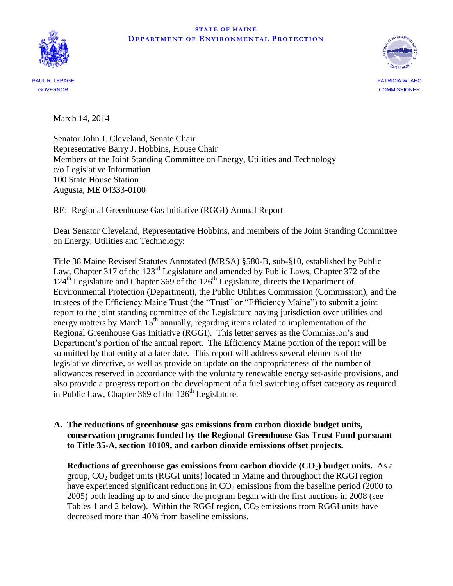#### **STATE OF MAINE DEP A R T MEN T OF EN VIR ON MEN T A L PR OT EC T ION**





PAUL R. LEPAGE PATRICIA W. AHO GOVERNOR COMMISSIONER

March 14, 2014

Senator John J. Cleveland, Senate Chair Representative Barry J. Hobbins, House Chair Members of the Joint Standing Committee on Energy, Utilities and Technology c/o Legislative Information 100 State House Station Augusta, ME 04333-0100

RE: Regional Greenhouse Gas Initiative (RGGI) Annual Report

Dear Senator Cleveland, Representative Hobbins, and members of the Joint Standing Committee on Energy, Utilities and Technology:

Title 38 Maine Revised Statutes Annotated (MRSA) §580-B, sub-§10, established by Public Law, Chapter 317 of the 123<sup>rd</sup> Legislature and amended by Public Laws, Chapter 372 of the 124<sup>th</sup> Legislature and Chapter 369 of the 126<sup>th</sup> Legislature, directs the Department of Environmental Protection (Department), the Public Utilities Commission (Commission), and the trustees of the Efficiency Maine Trust (the "Trust" or "Efficiency Maine") to submit a joint report to the joint standing committee of the Legislature having jurisdiction over utilities and energy matters by March 15<sup>th</sup> annually, regarding items related to implementation of the Regional Greenhouse Gas Initiative (RGGI). This letter serves as the Commission's and Department's portion of the annual report. The Efficiency Maine portion of the report will be submitted by that entity at a later date. This report will address several elements of the legislative directive, as well as provide an update on the appropriateness of the number of allowances reserved in accordance with the voluntary renewable energy set-aside provisions, and also provide a progress report on the development of a fuel switching offset category as required in Public Law, Chapter  $369$  of the  $126<sup>th</sup>$  Legislature.

## **A. The reductions of greenhouse gas emissions from carbon dioxide budget units, conservation programs funded by the Regional Greenhouse Gas Trust Fund pursuant to Title 35-A, section 10109, and carbon dioxide emissions offset projects.**

**Reductions of greenhouse gas emissions from carbon dioxide (CO2) budget units.** As a group, CO<sup>2</sup> budget units (RGGI units) located in Maine and throughout the RGGI region have experienced significant reductions in  $CO<sub>2</sub>$  emissions from the baseline period (2000 to 2005) both leading up to and since the program began with the first auctions in 2008 (see Tables 1 and 2 below). Within the RGGI region,  $CO<sub>2</sub>$  emissions from RGGI units have decreased more than 40% from baseline emissions.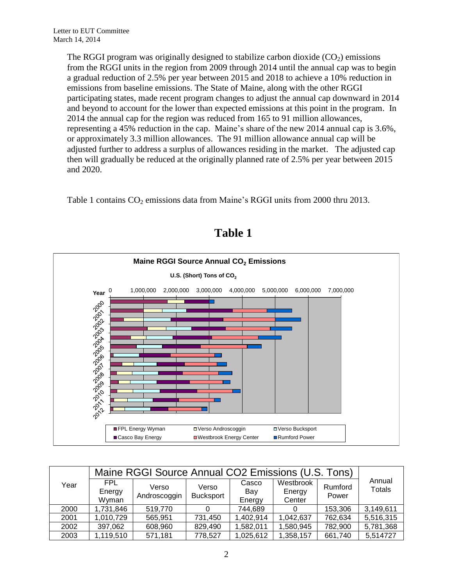The RGGI program was originally designed to stabilize carbon dioxide  $(CO<sub>2</sub>)$  emissions from the RGGI units in the region from 2009 through 2014 until the annual cap was to begin a gradual reduction of 2.5% per year between 2015 and 2018 to achieve a 10% reduction in emissions from baseline emissions. The State of Maine, along with the other RGGI participating states, made recent program changes to adjust the annual cap downward in 2014 and beyond to account for the lower than expected emissions at this point in the program. In 2014 the annual cap for the region was reduced from 165 to 91 million allowances, representing a 45% reduction in the cap. Maine's share of the new 2014 annual cap is 3.6%, or approximately 3.3 million allowances. The 91 million allowance annual cap will be adjusted further to address a surplus of allowances residing in the market. The adjusted cap then will gradually be reduced at the originally planned rate of 2.5% per year between 2015 and 2020.

Table 1 contains  $CO<sub>2</sub>$  emissions data from Maine's RGGI units from 2000 thru 2013.



# **Table 1**

| Year | Maine RGGI Source Annual CO2 Emissions (U.S. Tons) |                       |                           |                        |                               |                  |                         |
|------|----------------------------------------------------|-----------------------|---------------------------|------------------------|-------------------------------|------------------|-------------------------|
|      | FPL<br>Energy<br>Wyman                             | Verso<br>Androscoggin | Verso<br><b>Bucksport</b> | Casco<br>Bav<br>Energy | Westbrook<br>Energy<br>Center | Rumford<br>Power | Annual<br><b>Totals</b> |
| 2000 | 1,731,846                                          | 519,770               |                           | 744,689                |                               | 153,306          | 3,149,611               |
| 2001 | 1,010,729                                          | 565,951               | 731,450                   | 1,402,914              | 1,042,637                     | 762,634          | 5,516,315               |
| 2002 | 397,062                                            | 608,960               | 829,490                   | 1,582,011              | 1,580,945                     | 782,900          | 5,781,368               |
| 2003 | 1,119,510                                          | 571,181               | 778,527                   | 1,025,612              | 1,358,157                     | 661,740          | 5,514727                |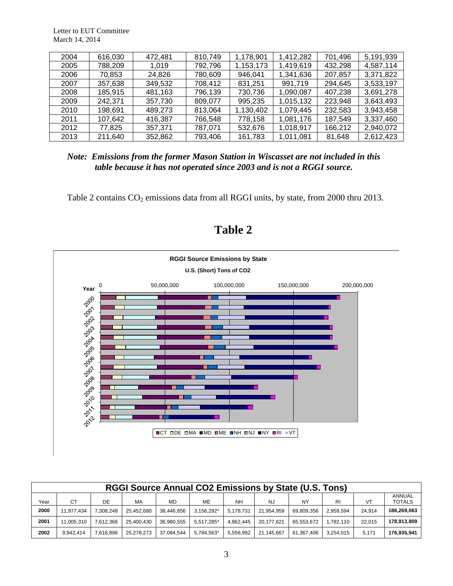Letter to EUT Committee March 14, 2014

| 2004 | 616,030 | 472,481 | 810,749 | 1,178,901 | 1,412,282 | 701,496 | 5,191,939 |
|------|---------|---------|---------|-----------|-----------|---------|-----------|
| 2005 | 788,209 | 1.019   | 792,796 | 1,153,173 | 1,419,619 | 432,298 | 4,587,114 |
| 2006 | 70,853  | 24,826  | 780,609 | 946,041   | 1,341,636 | 207,857 | 3,371,822 |
| 2007 | 357,638 | 349,532 | 708,412 | 831,251   | 991,719   | 294,645 | 3,533,197 |
| 2008 | 185,915 | 481,163 | 796,139 | 730,736   | 1,090,087 | 407,238 | 3,691,278 |
| 2009 | 242.371 | 357,730 | 809,077 | 995,235   | 1,015,132 | 223,948 | 3,643,493 |
| 2010 | 198,691 | 489,273 | 813,064 | 1,130,402 | 1,079,445 | 232,583 | 3,943,458 |
| 2011 | 107,642 | 416,387 | 766,548 | 778,158   | 1,081,176 | 187,549 | 3,337,460 |
| 2012 | 77.825  | 357,371 | 787.071 | 532,676   | 1,018,917 | 166,212 | 2,940,072 |
| 2013 | 211.640 | 352,862 | 793,406 | 161,783   | 1,011,081 | 81,648  | 2,612,423 |

*Note: Emissions from the former Mason Station in Wiscasset are not included in this table because it has not operated since 2003 and is not a RGGI source.*

Table 2 contains  $CO_2$  emissions data from all RGGI units, by state, from 2000 thru 2013.



**Table 2**

| <b>RGGI Source Annual CO2 Emissions by State (U.S. Tons)</b> |            |           |            |            |            |           |            |            |           |        |                         |
|--------------------------------------------------------------|------------|-----------|------------|------------|------------|-----------|------------|------------|-----------|--------|-------------------------|
| Year                                                         | СT         | DE        | MA         | MD         | ME         | <b>NH</b> | NJ         | <b>NY</b>  | RI        | VT     | ANNUAL<br><b>TOTALS</b> |
| 2000                                                         | 11.977.434 | .308.248  | 25.452.680 | 38.446.856 | 3.156.292* | 5.178.731 | 21.954.959 | 69.809.356 | 2.959.594 | 24.914 | 186,269,063             |
| 2001                                                         | 11.005.310 | 7.612.366 | 25.400.430 | 36.980.555 | 5.517.285* | 4.862.445 | 20.177.621 | 65.553.672 | 1.782.110 | 22.015 | 178.913.809             |
| 2002                                                         | 9.842.414  | 7.616.896 | 25.278.273 | 37.084.544 | 5,784,563* | 5,556,992 | 21.145.667 | 61.367.406 | 3.254.015 | 5.171  | 176,935,941             |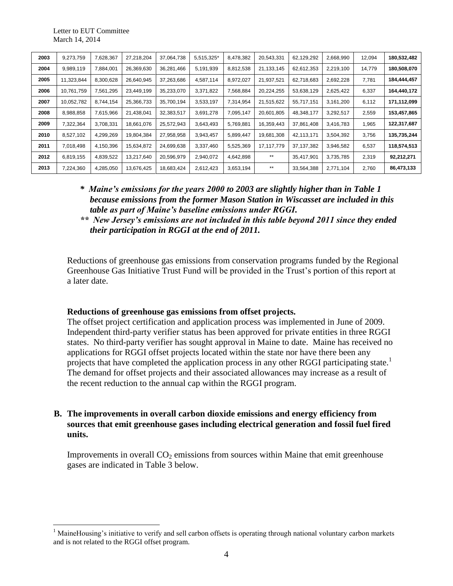$\overline{a}$ 

| 2003 | 9,273,759  | 7,628,367 | 27,218,204 | 37,064,738 | 5,515,325* | 8,478,382 | 20,543,331 | 62,129,292   | 2,668,990 | 12,094 | 180,532,482 |
|------|------------|-----------|------------|------------|------------|-----------|------------|--------------|-----------|--------|-------------|
| 2004 | 9,989,119  | 7,884,001 | 26,369,630 | 36,281,466 | 5,191,939  | 8,812,538 | 21,133,145 | 62,612,353   | 2,219,100 | 14,779 | 180,508,070 |
| 2005 | 11,323,844 | 8,300,628 | 26,640,945 | 37,263,686 | 4,587,114  | 8,972,027 | 21,937,521 | 62,718,683   | 2,692,228 | 7,781  | 184,444,457 |
| 2006 | 10,761,759 | 7,561,295 | 23,449,199 | 35,233,070 | 3,371,822  | 7,568,884 | 20,224,255 | 53,638,129   | 2,625,422 | 6,337  | 164,440,172 |
| 2007 | 10,052,782 | 8,744,154 | 25,366,733 | 35,700,194 | 3,533,197  | 7,314,954 | 21,515,622 | 55,717,151   | 3,161,200 | 6,112  | 171,112,099 |
| 2008 | 8,988,858  | 7,615,966 | 21,438,041 | 32,383,517 | 3,691,278  | 7,095,147 | 20,601,805 | 48,348,177   | 3,292,517 | 2,559  | 153,457,865 |
| 2009 | 7,322,364  | 3,708,331 | 18,661,076 | 25,572,943 | 3,643,493  | 5,769,881 | 16,359,443 | 37,861,408   | 3,416,783 | 1,965  | 122,317,687 |
| 2010 | 8,527,102  | 4,299,269 | 19,804,384 | 27,958,958 | 3,943,457  | 5,899,447 | 19,681,308 | 42,113,171   | 3,504,392 | 3,756  | 135,735,244 |
| 2011 | 7,018,498  | 4,150,396 | 15,634,872 | 24,699,638 | 3,337,460  | 5,525,369 | 17,117,779 | 37, 137, 382 | 3,946,582 | 6,537  | 118,574,513 |
| 2012 | 6,819,155  | 4,839,522 | 13,217,640 | 20,596,979 | 2,940,072  | 4,642,898 | **         | 35,417,901   | 3,735,785 | 2,319  | 92,212,271  |
| 2013 | 7,224,360  | 4,285,050 | 13,676,425 | 18,683,424 | 2,612,423  | 3,653,194 | $***$      | 33,564,388   | 2,771,104 | 2,760  | 86,473,133  |

- *\* Maine's emissions for the years 2000 to 2003 are slightly higher than in Table 1 because emissions from the former Mason Station in Wiscasset are included in this table as part of Maine's baseline emissions under RGGI.*
- *\*\* New Jersey's emissions are not included in this table beyond 2011 since they ended their participation in RGGI at the end of 2011.*

Reductions of greenhouse gas emissions from conservation programs funded by the Regional Greenhouse Gas Initiative Trust Fund will be provided in the Trust's portion of this report at a later date.

#### **Reductions of greenhouse gas emissions from offset projects.**

The offset project certification and application process was implemented in June of 2009. Independent third-party verifier status has been approved for private entities in three RGGI states. No third-party verifier has sought approval in Maine to date. Maine has received no applications for RGGI offset projects located within the state nor have there been any projects that have completed the application process in any other RGGI participating state.<sup>1</sup> The demand for offset projects and their associated allowances may increase as a result of the recent reduction to the annual cap within the RGGI program.

## **B. The improvements in overall carbon dioxide emissions and energy efficiency from sources that emit greenhouse gases including electrical generation and fossil fuel fired units.**

Improvements in overall  $CO<sub>2</sub>$  emissions from sources within Maine that emit greenhouse gases are indicated in Table 3 below.

<sup>&</sup>lt;sup>1</sup> MaineHousing's initiative to verify and sell carbon offsets is operating through national voluntary carbon markets and is not related to the RGGI offset program.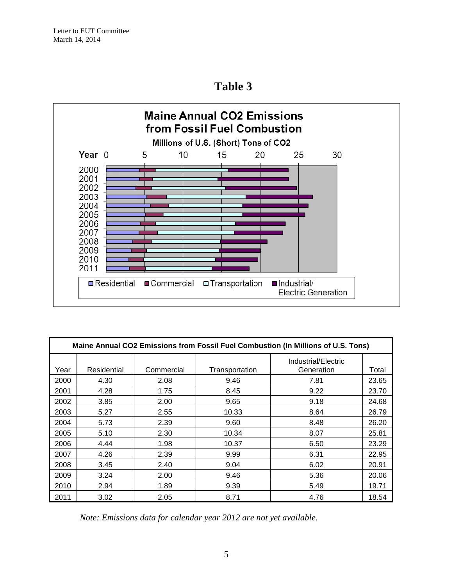**Table 3**



| Maine Annual CO2 Emissions from Fossil Fuel Combustion (In Millions of U.S. Tons) |             |            |                |                                   |       |  |  |  |  |  |
|-----------------------------------------------------------------------------------|-------------|------------|----------------|-----------------------------------|-------|--|--|--|--|--|
| Year                                                                              | Residential | Commercial | Transportation | Industrial/Electric<br>Generation | Total |  |  |  |  |  |
| 2000                                                                              | 4.30        | 2.08       | 9.46           | 7.81                              | 23.65 |  |  |  |  |  |
| 2001                                                                              | 4.28        | 1.75       | 8.45           | 9.22                              | 23.70 |  |  |  |  |  |
| 2002                                                                              | 3.85        | 2.00       | 9.65           | 9.18                              | 24.68 |  |  |  |  |  |
| 2003                                                                              | 5.27        | 2.55       | 10.33          | 8.64                              | 26.79 |  |  |  |  |  |
| 2004                                                                              | 5.73        | 2.39       | 9.60           | 8.48                              | 26.20 |  |  |  |  |  |
| 2005                                                                              | 5.10        | 2.30       | 10.34          | 8.07                              | 25.81 |  |  |  |  |  |
| 2006                                                                              | 4.44        | 1.98       | 10.37          | 6.50                              | 23.29 |  |  |  |  |  |
| 2007                                                                              | 4.26        | 2.39       | 9.99           | 6.31                              | 22.95 |  |  |  |  |  |
| 2008                                                                              | 3.45        | 2.40       | 9.04           | 6.02                              | 20.91 |  |  |  |  |  |
| 2009                                                                              | 3.24        | 2.00       | 9.46           | 5.36                              | 20.06 |  |  |  |  |  |
| 2010                                                                              | 2.94        | 1.89       | 9.39           | 5.49                              | 19.71 |  |  |  |  |  |
| 2011                                                                              | 3.02        | 2.05       | 8.71           | 4.76                              | 18.54 |  |  |  |  |  |

*Note: Emissions data for calendar year 2012 are not yet available.*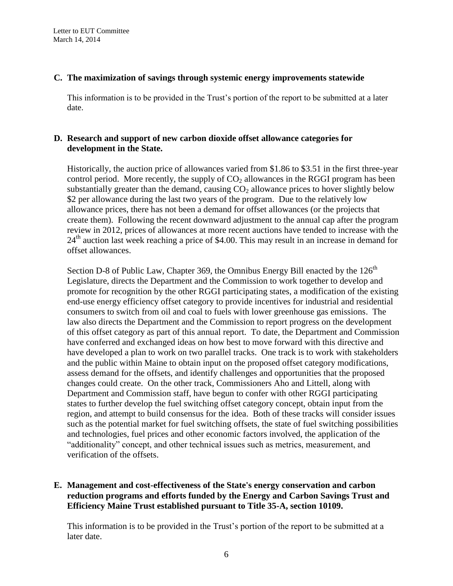### **C. The maximization of savings through systemic energy improvements statewide**

This information is to be provided in the Trust's portion of the report to be submitted at a later date.

## **D. Research and support of new carbon dioxide offset allowance categories for development in the State.**

Historically, the auction price of allowances varied from \$1.86 to \$3.51 in the first three-year control period. More recently, the supply of  $CO<sub>2</sub>$  allowances in the RGGI program has been substantially greater than the demand, causing  $CO<sub>2</sub>$  allowance prices to hover slightly below \$2 per allowance during the last two years of the program. Due to the relatively low allowance prices, there has not been a demand for offset allowances (or the projects that create them). Following the recent downward adjustment to the annual cap after the program review in 2012, prices of allowances at more recent auctions have tended to increase with the  $24<sup>th</sup>$  auction last week reaching a price of \$4.00. This may result in an increase in demand for offset allowances.

Section D-8 of Public Law, Chapter 369, the Omnibus Energy Bill enacted by the  $126<sup>th</sup>$ Legislature, directs the Department and the Commission to work together to develop and promote for recognition by the other RGGI participating states, a modification of the existing end-use energy efficiency offset category to provide incentives for industrial and residential consumers to switch from oil and coal to fuels with lower greenhouse gas emissions. The law also directs the Department and the Commission to report progress on the development of this offset category as part of this annual report. To date, the Department and Commission have conferred and exchanged ideas on how best to move forward with this directive and have developed a plan to work on two parallel tracks. One track is to work with stakeholders and the public within Maine to obtain input on the proposed offset category modifications, assess demand for the offsets, and identify challenges and opportunities that the proposed changes could create. On the other track, Commissioners Aho and Littell, along with Department and Commission staff, have begun to confer with other RGGI participating states to further develop the fuel switching offset category concept, obtain input from the region, and attempt to build consensus for the idea. Both of these tracks will consider issues such as the potential market for fuel switching offsets, the state of fuel switching possibilities and technologies, fuel prices and other economic factors involved, the application of the "additionality" concept, and other technical issues such as metrics, measurement, and verification of the offsets.

## **E. Management and cost-effectiveness of the State's energy conservation and carbon reduction programs and efforts funded by the Energy and Carbon Savings Trust and Efficiency Maine Trust established pursuant to Title 35-A, section 10109.**

This information is to be provided in the Trust's portion of the report to be submitted at a later date.